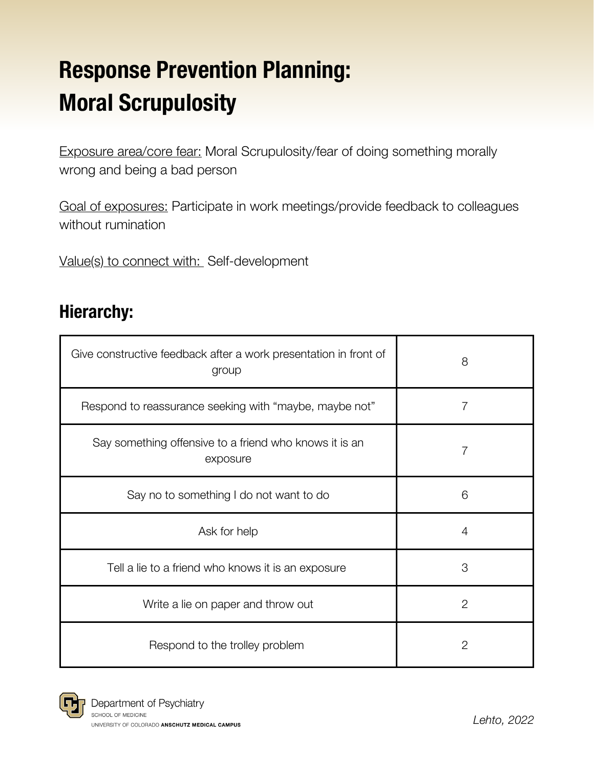# Response Prevention Planning: Moral Scrupulosity

Exposure area/core fear: Moral Scrupulosity/fear of doing something morally wrong and being a bad person

Goal of exposures: Participate in work meetings/provide feedback to colleagues without rumination

Value(s) to connect with: Self-development

### Hierarchy:

| Give constructive feedback after a work presentation in front of<br>group | 8            |
|---------------------------------------------------------------------------|--------------|
| Respond to reassurance seeking with "maybe, maybe not"                    | 7            |
| Say something offensive to a friend who knows it is an<br>exposure        | 7            |
| Say no to something I do not want to do                                   | 6            |
| Ask for help                                                              | 4            |
| Tell a lie to a friend who knows it is an exposure                        | 3            |
| Write a lie on paper and throw out                                        | $\mathbf{2}$ |
| Respond to the trolley problem                                            | 2            |

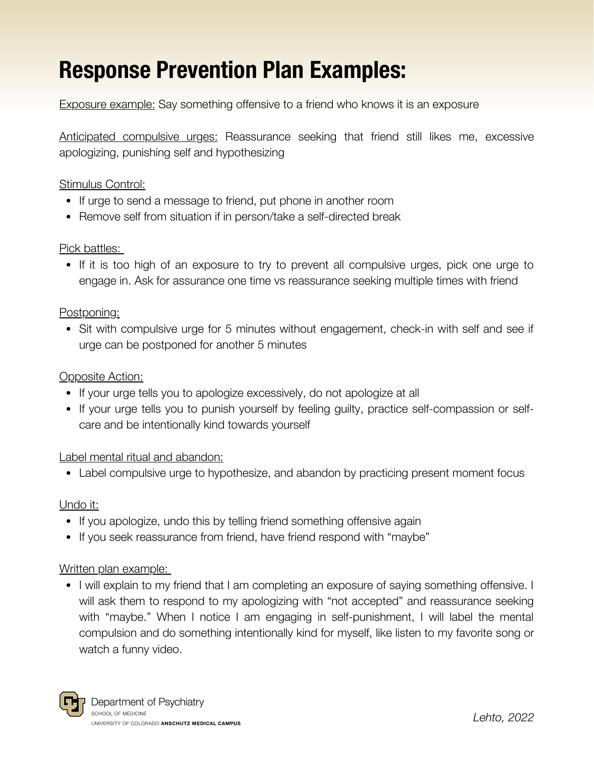## Response Prevention Plan Examples:

Exposure example: Say something offensive to a friend who knows it is an exposure

Anticipated compulsive urges: Reassurance seeking that friend still likes me, excessive apologizing, punishing self and hypothesizing

#### Stimulus Control:

- If urge to send a message to friend, put phone in another room
- Remove self from situation if in person/take a self-directed break

#### Pick battles:

If it is too high of an exposure to try to prevent all compulsive urges, pick one urge to engage in. Ask for assurance one time vs reassurance seeking multiple times with friend

#### Postponing:

• Sit with compulsive urge for 5 minutes without engagement, check-in with self and see if urge can be postponed for another 5 minutes

#### Opposite Action:

- If your urge tells you to apologize excessively, do not apologize at all
- If your urge tells you to punish yourself by feeling guilty, practice self-compassion or selfcare and be intentionally kind towards yourself

#### Label mental ritual and abandon:

Label compulsive urge to hypothesize, and abandon by practicing present moment focus

#### Undo it:

- If you apologize, undo this by telling friend something offensive again
- If you seek reassurance from friend, have friend respond with "maybe"

#### Written plan example:

• I will explain to my friend that I am completing an exposure of saying something offensive. I will ask them to respond to my apologizing with "not accepted" and reassurance seeking with "maybe." When I notice I am engaging in self-punishment, I will label the mental compulsion and do something intentionally kind for myself, like listen to my favorite song or watch a funny video.